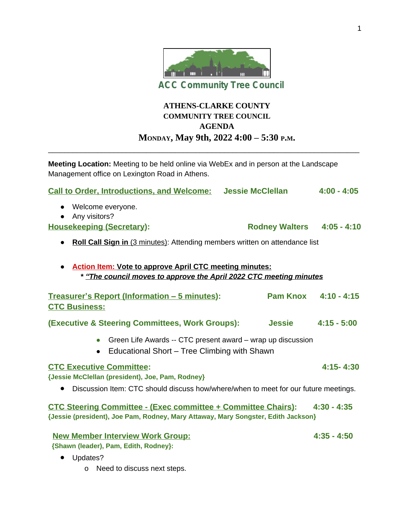

# **ATHENS-CLARKE COUNTY COMMUNITY TREE COUNCIL AGENDA MONDAY, May 9th, 2022 4:00 – 5:30 P.M.**

**Meeting Location:** Meeting to be held online via WebEx and in person at the Landscape Management office on Lexington Road in Athens.

\_\_\_\_\_\_\_\_\_\_\_\_\_\_\_\_\_\_\_\_\_\_\_\_\_\_\_\_\_\_\_\_\_\_\_\_\_\_\_\_\_\_\_\_\_\_\_\_\_\_\_\_\_\_\_\_\_\_\_\_\_\_\_\_\_\_\_\_\_\_\_\_\_\_\_\_

| <b>Call to Order, Introductions, and Welcome: Jessie McClellan</b>                                                                                        |                            | $4:00 - 4:05$        |
|-----------------------------------------------------------------------------------------------------------------------------------------------------------|----------------------------|----------------------|
| • Welcome everyone.<br>Any visitors?                                                                                                                      |                            |                      |
| <b>Housekeeping (Secretary):</b>                                                                                                                          | Rodney Walters 4:05 - 4:10 |                      |
| <b>Roll Call Sign in</b> (3 minutes): Attending members written on attendance list                                                                        |                            |                      |
| <b>Action Item: Vote to approve April CTC meeting minutes:</b><br>* "The council moves to approve the April 2022 CTC meeting minutes                      |                            |                      |
| <b>Treasurer's Report (Information - 5 minutes):</b><br><b>CTC Business:</b>                                                                              |                            | Pam Knox 4:10 - 4:15 |
| <b>(Executive &amp; Steering Committees, Work Groups):</b>                                                                                                | <b>Jessie</b>              | $4:15 - 5:00$        |
| Green Life Awards -- CTC present award - wrap up discussion<br>$\bullet$<br>Educational Short - Tree Climbing with Shawn<br>$\bullet$                     |                            |                      |
| <b>CTC Executive Committee:</b><br>{Jessie McClellan (president), Joe, Pam, Rodney}                                                                       |                            | $4:15 - 4:30$        |
| • Discussion Item: CTC should discuss how/where/when to meet for our future meetings.                                                                     |                            |                      |
| <b>CTC Steering Committee - (Exec committee + Committee Chairs):</b><br>{Jessie (president), Joe Pam, Rodney, Mary Attaway, Mary Songster, Edith Jackson} |                            | $4:30 - 4:35$        |
| <b>New Member Interview Work Group:</b><br>{Shawn (leader), Pam, Edith, Rodney}:<br>Updates?<br>$\bullet$                                                 |                            | $4:35 - 4:50$        |

o Need to discuss next steps.